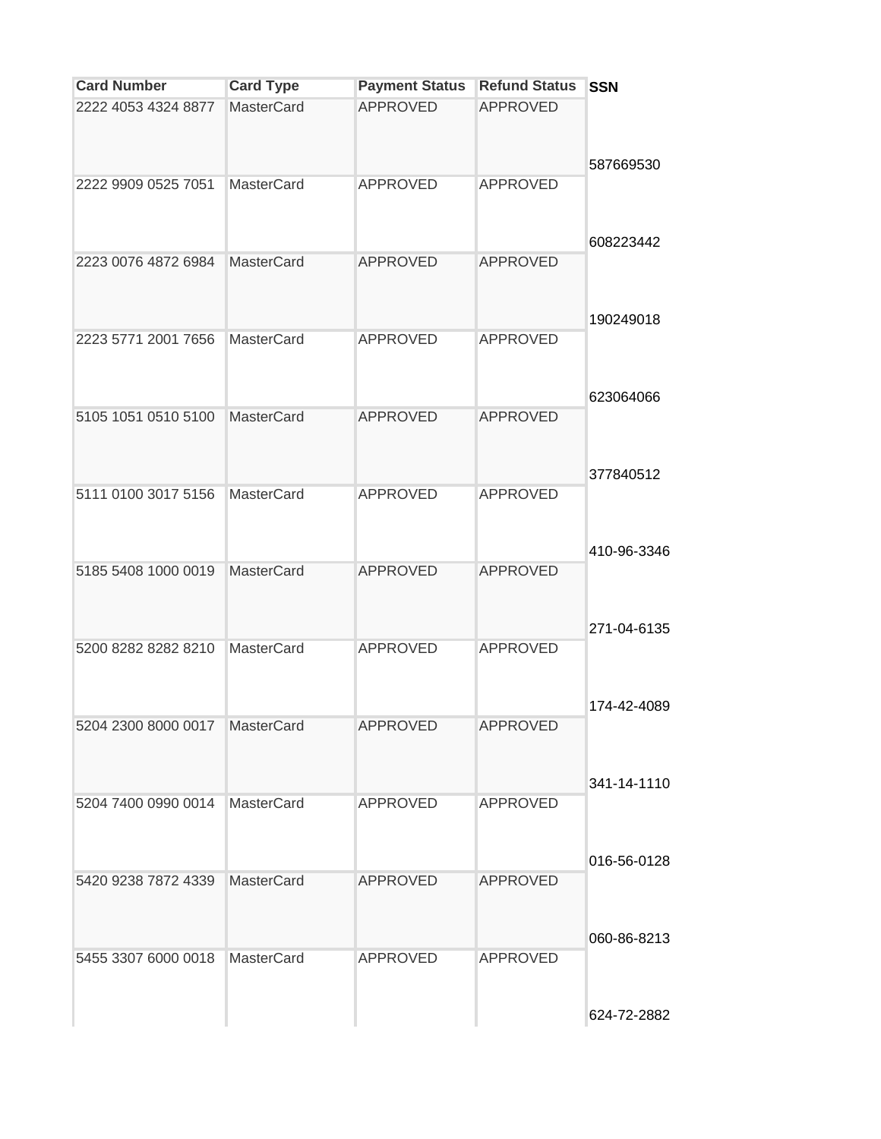| <b>Card Number</b>  | <b>Card Type</b>  | <b>Payment Status</b> | <b>Refund Status</b> | <b>SSN</b>  |
|---------------------|-------------------|-----------------------|----------------------|-------------|
| 2222 4053 4324 8877 | <b>MasterCard</b> | <b>APPROVED</b>       | <b>APPROVED</b>      |             |
| 2222 9909 0525 7051 | <b>MasterCard</b> | <b>APPROVED</b>       | <b>APPROVED</b>      | 587669530   |
| 2223 0076 4872 6984 | MasterCard        | <b>APPROVED</b>       | <b>APPROVED</b>      | 608223442   |
| 2223 5771 2001 7656 | <b>MasterCard</b> | <b>APPROVED</b>       | <b>APPROVED</b>      | 190249018   |
| 5105 1051 0510 5100 | <b>MasterCard</b> | <b>APPROVED</b>       | <b>APPROVED</b>      | 623064066   |
| 5111 0100 3017 5156 | <b>MasterCard</b> | <b>APPROVED</b>       | <b>APPROVED</b>      | 377840512   |
| 5185 5408 1000 0019 | <b>MasterCard</b> | <b>APPROVED</b>       | <b>APPROVED</b>      | 410-96-3346 |
| 5200 8282 8282 8210 | <b>MasterCard</b> | <b>APPROVED</b>       | <b>APPROVED</b>      | 271-04-6135 |
| 5204 2300 8000 0017 | MasterCard        | <b>APPROVED</b>       | <b>APPROVED</b>      | 174-42-4089 |
| 5204 7400 0990 0014 | MasterCard        | <b>APPROVED</b>       | <b>APPROVED</b>      | 341-14-1110 |
| 5420 9238 7872 4339 | <b>MasterCard</b> | <b>APPROVED</b>       | <b>APPROVED</b>      | 016-56-0128 |
|                     |                   |                       |                      | 060-86-8213 |
| 5455 3307 6000 0018 | <b>MasterCard</b> | <b>APPROVED</b>       | <b>APPROVED</b>      | 624-72-2882 |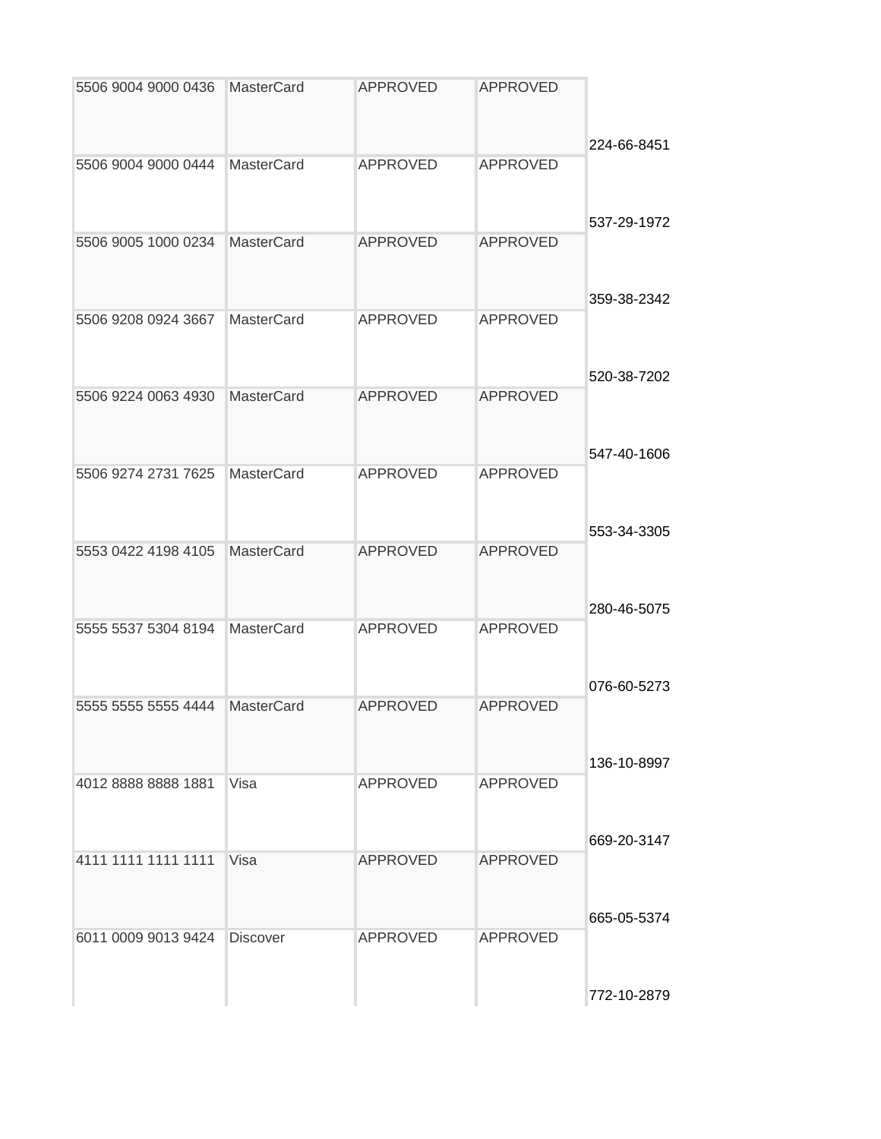|             | <b>APPROVED</b> | <b>APPROVED</b> | <b>MasterCard</b> | 5506 9004 9000 0436 |
|-------------|-----------------|-----------------|-------------------|---------------------|
| 224-66-8451 | <b>APPROVED</b> | <b>APPROVED</b> | <b>MasterCard</b> | 5506 9004 9000 0444 |
| 537-29-1972 |                 |                 |                   |                     |
|             | <b>APPROVED</b> | <b>APPROVED</b> | MasterCard        | 5506 9005 1000 0234 |
| 359-38-2342 |                 |                 |                   |                     |
|             | <b>APPROVED</b> | <b>APPROVED</b> | <b>MasterCard</b> | 5506 9208 0924 3667 |
| 520-38-7202 | <b>APPROVED</b> | <b>APPROVED</b> | MasterCard        | 5506 9224 0063 4930 |
| 547-40-1606 |                 |                 |                   |                     |
|             | <b>APPROVED</b> | <b>APPROVED</b> | <b>MasterCard</b> | 5506 9274 2731 7625 |
| 553-34-3305 |                 |                 |                   |                     |
|             | <b>APPROVED</b> | <b>APPROVED</b> | <b>MasterCard</b> | 5553 0422 4198 4105 |
| 280-46-5075 |                 |                 |                   |                     |
|             | <b>APPROVED</b> | <b>APPROVED</b> | <b>MasterCard</b> | 5555 5537 5304 8194 |
| 076-60-5273 |                 |                 |                   |                     |
|             | <b>APPROVED</b> | <b>APPROVED</b> | <b>MasterCard</b> | 5555 5555 5555 4444 |
| 136-10-8997 |                 |                 |                   |                     |
|             | <b>APPROVED</b> | <b>APPROVED</b> | Visa              | 4012 8888 8888 1881 |
| 669-20-3147 |                 |                 |                   |                     |
|             | <b>APPROVED</b> | <b>APPROVED</b> | Visa              | 4111 1111 1111 1111 |
| 665-05-5374 |                 |                 |                   |                     |
|             | <b>APPROVED</b> | <b>APPROVED</b> | <b>Discover</b>   | 6011 0009 9013 9424 |
| 772-10-2879 |                 |                 |                   |                     |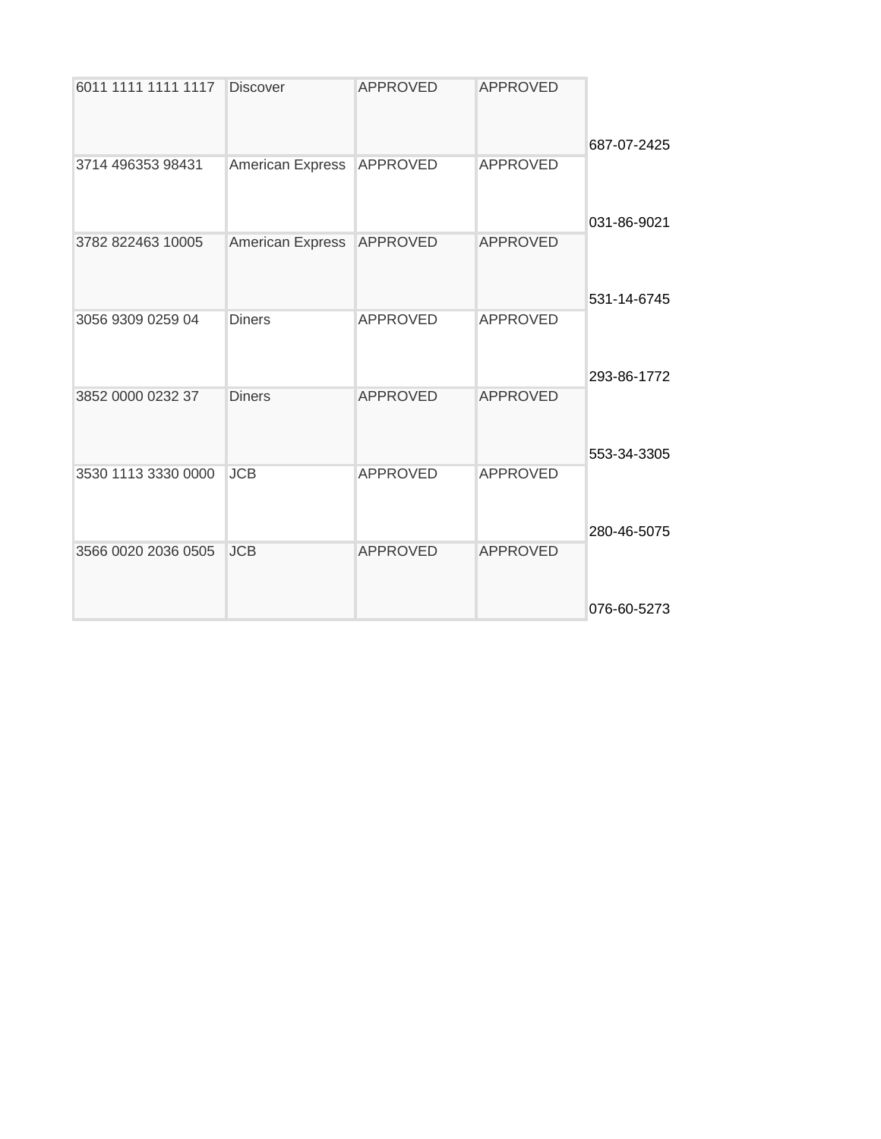| 6011 1111 1111 1117 | <b>Discover</b>         | <b>APPROVED</b> | <b>APPROVED</b> |             |
|---------------------|-------------------------|-----------------|-----------------|-------------|
| 3714 496353 98431   |                         | <b>APPROVED</b> | <b>APPROVED</b> | 687-07-2425 |
|                     | <b>American Express</b> |                 |                 | 031-86-9021 |
| 3782 822463 10005   | American Express        | <b>APPROVED</b> | <b>APPROVED</b> | 531-14-6745 |
| 3056 9309 0259 04   | <b>Diners</b>           | <b>APPROVED</b> | <b>APPROVED</b> | 293-86-1772 |
| 3852 0000 0232 37   | <b>Diners</b>           | <b>APPROVED</b> | <b>APPROVED</b> | 553-34-3305 |
| 3530 1113 3330 0000 | <b>JCB</b>              | <b>APPROVED</b> | <b>APPROVED</b> | 280-46-5075 |
| 3566 0020 2036 0505 | <b>JCB</b>              | <b>APPROVED</b> | <b>APPROVED</b> | 076-60-5273 |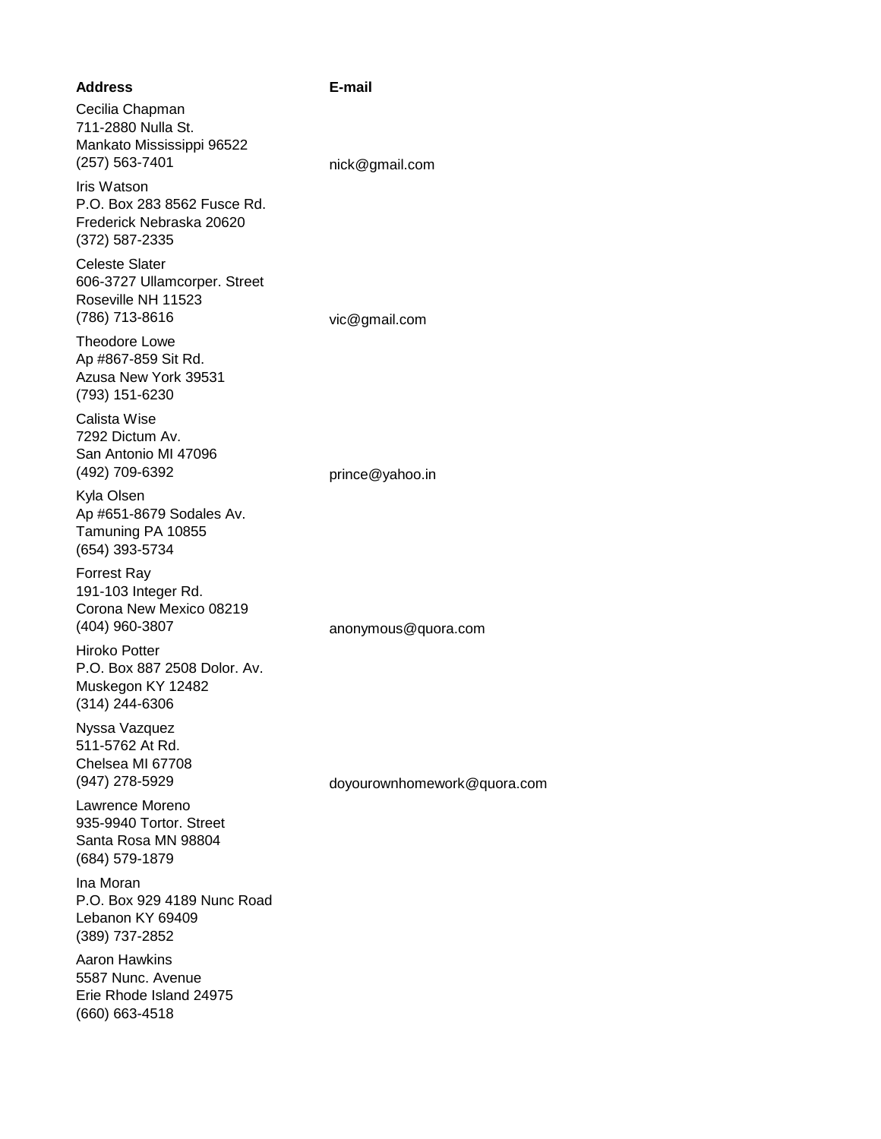| <b>Address</b>                                                                                | E-mail                      |
|-----------------------------------------------------------------------------------------------|-----------------------------|
| Cecilia Chapman<br>711-2880 Nulla St.<br>Mankato Mississippi 96522<br>(257) 563-7401          | nick@gmail.com              |
| Iris Watson<br>P.O. Box 283 8562 Fusce Rd.<br>Frederick Nebraska 20620<br>$(372) 587 - 2335$  |                             |
| <b>Celeste Slater</b><br>606-3727 Ullamcorper. Street<br>Roseville NH 11523<br>(786) 713-8616 | vic@gmail.com               |
| Theodore Lowe<br>Ap #867-859 Sit Rd.<br>Azusa New York 39531<br>(793) 151-6230                |                             |
| Calista Wise<br>7292 Dictum Av.<br>San Antonio MI 47096<br>(492) 709-6392                     | prince@yahoo.in             |
| Kyla Olsen<br>Ap #651-8679 Sodales Av.<br>Tamuning PA 10855<br>(654) 393-5734                 |                             |
| <b>Forrest Ray</b><br>191-103 Integer Rd.<br>Corona New Mexico 08219<br>(404) 960-3807        | anonymous@quora.com         |
| <b>Hiroko Potter</b><br>P.O. Box 887 2508 Dolor. Av.<br>Muskegon KY 12482<br>$(314)$ 244-6306 |                             |
| Nyssa Vazquez<br>511-5762 At Rd.<br>Chelsea MI 67708<br>(947) 278-5929                        | doyourownhomework@quora.com |
| Lawrence Moreno<br>935-9940 Tortor. Street<br>Santa Rosa MN 98804<br>(684) 579-1879           |                             |
| Ina Moran<br>P.O. Box 929 4189 Nunc Road<br>Lebanon KY 69409<br>(389) 737-2852                |                             |
| <b>Aaron Hawkins</b><br>5587 Nunc. Avenue<br>Erie Rhode Island 24975<br>(660) 663-4518        |                             |
|                                                                                               |                             |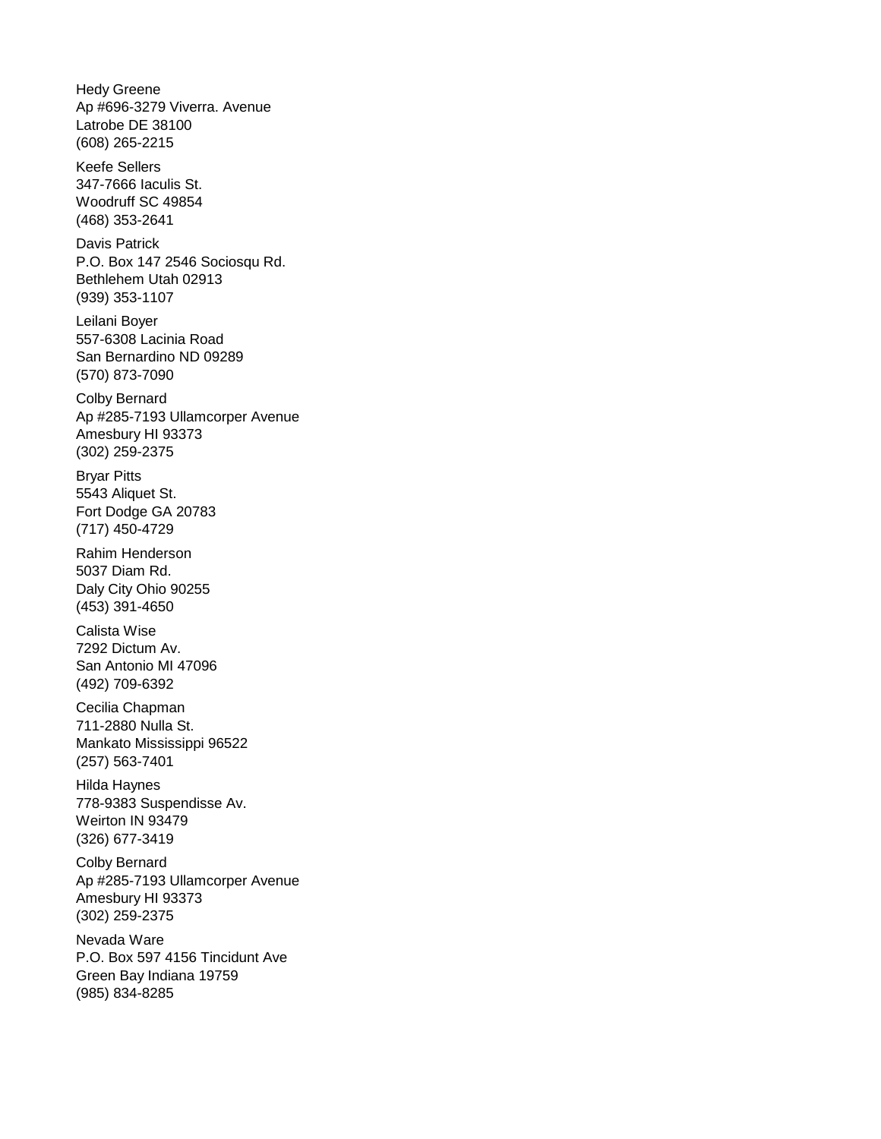Hedy Greene Ap #696-3279 Viverra. Avenue Latrobe DE 38100 (608) 265-2215

Keefe Sellers 347-7666 Iaculis St. Woodruff SC 49854 (468) 353-2641

Davis Patrick P.O. Box 147 2546 Sociosqu Rd. Bethlehem Utah 02913 (939) 353-1107

Leilani Boyer 557-6308 Lacinia Road San Bernardino ND 09289 (570) 873-7090

Colby Bernard Ap #285-7193 Ullamcorper Avenue Amesbury HI 93373 (302) 259-2375

Bryar Pitts 5543 Aliquet St. Fort Dodge GA 20783 (717) 450-4729

Rahim Henderson 5037 Diam Rd. Daly City Ohio 90255 (453) 391-4650

Calista Wise 7292 Dictum Av. San Antonio MI 47096 (492) 709-6392

Cecilia Chapman 711-2880 Nulla St. Mankato Mississippi 96522 (257) 563-7401

Hilda Haynes 778-9383 Suspendisse Av. Weirton IN 93479 (326) 677-3419

Colby Bernard Ap #285-7193 Ullamcorper Avenue Amesbury HI 93373 (302) 259-2375

Nevada Ware P.O. Box 597 4156 Tincidunt Ave Green Bay Indiana 19759 (985) 834-8285